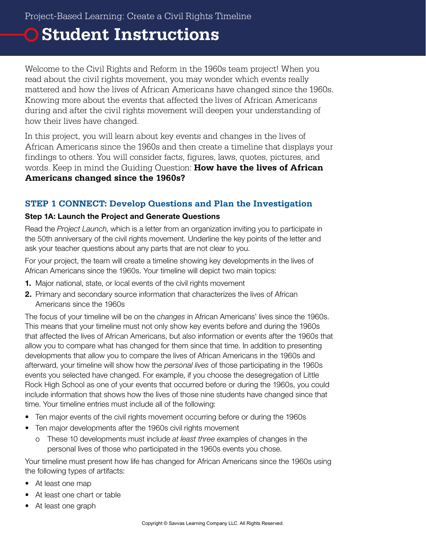## **Student Instructions**

Welcome to the Civil Rights and Reform in the 1960s team project! When you read about the civil rights movement, you may wonder which events really mattered and how the lives of African Americans have changed since the 1960s. Knowing more about the events that affected the lives of African Americans during and after the civil rights movement will deepen your understanding of how their lives have changed.

In this project, you will learn about key events and changes in the lives of African Americans since the 1960s and then create a timeline that displays your findings to others. You will consider facts, figures, laws, quotes, pictures, and words. Keep in mind the Guiding Question: **How have the lives of African Americans changed since the 1960s?**

#### **STEP 1 CONNECT: Develop Questions and Plan the Investigation**

#### Step 1A: Launch the Project and Generate Questions

Read the *Project Launch*, which is a letter from an organization inviting you to participate in the 50th anniversary of the civil rights movement. Underline the key points of the letter and ask your teacher questions about any parts that are not clear to you.

For your project, the team will create a timeline showing key developments in the lives of African Americans since the 1960s. Your timeline will depict two main topics:

- 1. Major national, state, or local events of the civil rights movement
- 2. Primary and secondary source information that characterizes the lives of African Americans since the 1960s

The focus of your timeline will be on the *changes* in African Americans' lives since the 1960s. This means that your timeline must not only show key events before and during the 1960s that affected the lives of African Americans, but also information or events after the 1960s that allow you to compare what has changed for them since that time. In addition to presenting developments that allow you to compare the lives of African Americans in the 1960s and afterward, your timeline will show how the *personal lives* of those participating in the 1960s events you selected have changed. For example, if you choose the desegregation of Little Rock High School as one of your events that occurred before or during the 1960s, you could include information that shows how the lives of those nine students have changed since that time. Your timeline entries must include all of the following:

- Ten major events of the civil rights movement occurring before or during the 1960s
- Ten major developments after the 1960s civil rights movement
	- o These 10 developments must include *at least three* examples of changes in the personal lives of those who participated in the 1960s events you chose.

Your timeline must present how life has changed for African Americans since the 1960s using the following types of artifacts:

- At least one map
- At least one chart or table
- At least one graph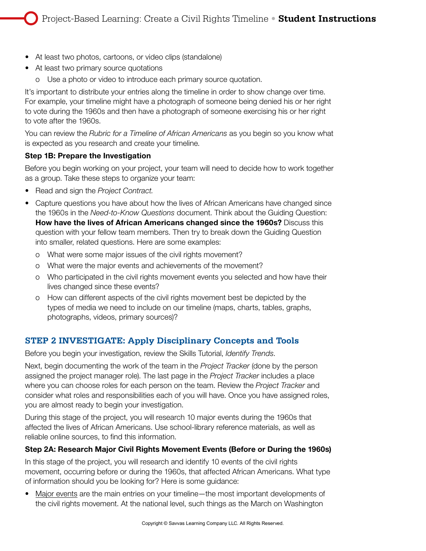- At least two photos, cartoons, or video clips (standalone)
- At least two primary source quotations
	- o Use a photo or video to introduce each primary source quotation.

It's important to distribute your entries along the timeline in order to show change over time. For example, your timeline might have a photograph of someone being denied his or her right to vote during the 1960s and then have a photograph of someone exercising his or her right to vote after the 1960s.

You can review the *Rubric for a Timeline of African Americans* as you begin so you know what is expected as you research and create your timeline.

#### Step 1B: Prepare the Investigation

Before you begin working on your project, your team will need to decide how to work together as a group. Take these steps to organize your team:

- Read and sign the *Project Contract.*
- Capture questions you have about how the lives of African Americans have changed since the 1960s in the *Need-to-Know Questions* document. Think about the Guiding Question: How have the lives of African Americans changed since the 1960s? Discuss this question with your fellow team members. Then try to break down the Guiding Question into smaller, related questions. Here are some examples:
	- o What were some major issues of the civil rights movement?
	- o What were the major events and achievements of the movement?
	- o Who participated in the civil rights movement events you selected and how have their lives changed since these events?
	- o How can different aspects of the civil rights movement best be depicted by the types of media we need to include on our timeline (maps, charts, tables, graphs, photographs, videos, primary sources)?

#### **STEP 2 INVESTIGATE: Apply Disciplinary Concepts and Tools**

Before you begin your investigation, review the Skills Tutorial, *Identify Trends*.

Next, begin documenting the work of the team in the *Project Tracker* (done by the person assigned the project manager role). The last page in the *Project Tracker* includes a place where you can choose roles for each person on the team. Review the *Project Tracker* and consider what roles and responsibilities each of you will have. Once you have assigned roles, you are almost ready to begin your investigation.

During this stage of the project, you will research 10 major events during the 1960s that affected the lives of African Americans. Use school-library reference materials, as well as reliable online sources, to find this information.

#### Step 2A: Research Major Civil Rights Movement Events (Before or During the 1960s)

In this stage of the project, you will research and identify 10 events of the civil rights movement, occurring before or during the 1960s, that affected African Americans. What type of information should you be looking for? Here is some guidance:

• Major events are the main entries on your timeline—the most important developments of the civil rights movement. At the national level, such things as the March on Washington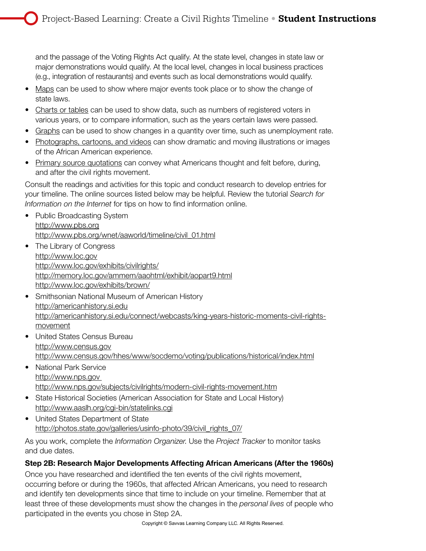and the passage of the Voting Rights Act qualify. At the state level, changes in state law or major demonstrations would qualify. At the local level, changes in local business practices (e.g., integration of restaurants) and events such as local demonstrations would qualify.

- Maps can be used to show where major events took place or to show the change of state laws.
- Charts or tables can be used to show data, such as numbers of registered voters in various years, or to compare information, such as the years certain laws were passed.
- Graphs can be used to show changes in a quantity over time, such as unemployment rate.
- Photographs, cartoons, and videos can show dramatic and moving illustrations or images of the African American experience.
- Primary source quotations can convey what Americans thought and felt before, during, and after the civil rights movement.

Consult the readings and activities for this topic and conduct research to develop entries for your timeline. The online sources listed below may be helpful. Review the tutorial *Search for Information on the Internet* for tips on how to find information online.

- Public Broadcasting System http://www.pbs.org http://www.pbs.org/wnet/aaworld/timeline/civil\_01.html
- The Library of Congress http://www.loc.gov http://www.loc.gov/exhibits/civilrights/ http://memory.loc.gov/ammem/aaohtml/exhibit/aopart9.html http://www.loc.gov/exhibits/brown/
- Smithsonian National Museum of American History http://americanhistory.si.edu http://americanhistory.si.edu/connect/webcasts/king-years-historic-moments-civil-rightsmovement
- United States Census Bureau http://www.census.gov http://www.census.gov/hhes/www/socdemo/voting/publications/historical/index.html
- National Park Service http://www.nps.gov http://www.nps.gov/subjects/civilrights/modern-civil-rights-movement.htm
- State Historical Societies (American Association for State and Local History) http://www.aaslh.org/cgi-bin/statelinks.cgi
- United States Department of State http://photos.state.gov/galleries/usinfo-photo/39/civil\_rights\_07/

As you work, complete the *Information Organizer*. Use the *Project Tracker* to monitor tasks and due dates.

#### Step 2B: Research Major Developments Affecting African Americans (After the 1960s)

Once you have researched and identified the ten events of the civil rights movement, occurring before or during the 1960s, that affected African Americans, you need to research and identify ten developments since that time to include on your timeline. Remember that at least three of these developments must show the changes in the *personal lives* of people who participated in the events you chose in Step 2A.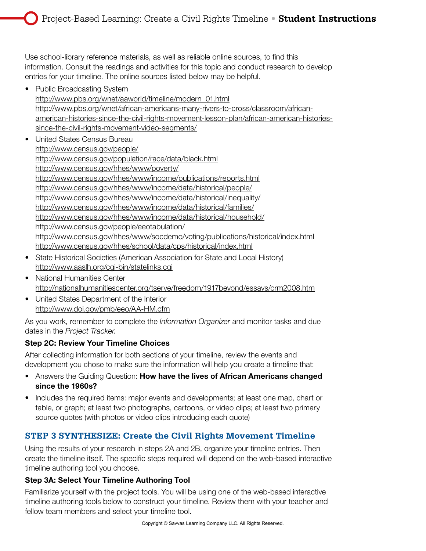Use school-library reference materials, as well as reliable online sources, to find this information. Consult the readings and activities for this topic and conduct research to develop entries for your timeline. The online sources listed below may be helpful.

• Public Broadcasting System

http://www.pbs.org/wnet/aaworld/timeline/modern\_01.html http://www.pbs.org/wnet/african-americans-many-rivers-to-cross/classroom/africanamerican-histories-since-the-civil-rights-movement-lesson-plan/african-american-historiessince-the-civil-rights-movement-video-segments/

- United States Census Bureau http://www.census.gov/people/ http://www.census.gov/population/race/data/black.html http://www.census.gov/hhes/www/poverty/ http://www.census.gov/hhes/www/income/publications/reports.html http://www.census.gov/hhes/www/income/data/historical/people/ http://www.census.gov/hhes/www/income/data/historical/inequality/ http://www.census.gov/hhes/www/income/data/historical/families/ http://www.census.gov/hhes/www/income/data/historical/household/ http://www.census.gov/people/eeotabulation/ http://www.census.gov/hhes/www/socdemo/voting/publications/historical/index.html http://www.census.gov/hhes/school/data/cps/historical/index.html
- State Historical Societies (American Association for State and Local History) http://www.aaslh.org/cgi-bin/statelinks.cgi
- National Humanities Center http://nationalhumanitiescenter.org/tserve/freedom/1917beyond/essays/crm2008.htm
- United States Department of the Interior http://www.doi.gov/pmb/eeo/AA-HM.cfm

As you work, remember to complete the *Information Organizer* and monitor tasks and due dates in the *Project Tracker*.

#### Step 2C: Review Your Timeline Choices

After collecting information for both sections of your timeline, review the events and development you chose to make sure the information will help you create a timeline that:

- Answers the Guiding Question: How have the lives of African Americans changed since the 1960s?
- Includes the required items: major events and developments; at least one map, chart or table, or graph; at least two photographs, cartoons, or video clips; at least two primary source quotes (with photos or video clips introducing each quote)

#### **STEP 3 SYNTHESIZE: Create the Civil Rights Movement Timeline**

Using the results of your research in steps 2A and 2B, organize your timeline entries. Then create the timeline itself. The specific steps required will depend on the web-based interactive timeline authoring tool you choose.

#### Step 3A: Select Your Timeline Authoring Tool

Familiarize yourself with the project tools. You will be using one of the web-based interactive timeline authoring tools below to construct your timeline. Review them with your teacher and fellow team members and select your timeline tool.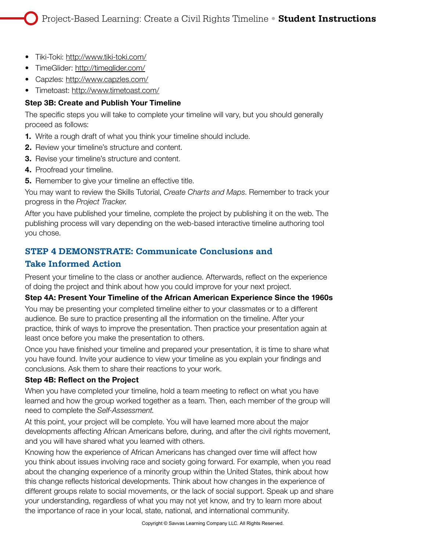- Tiki-Toki: http://www.tiki-toki.com/
- TimeGlider: http://timeglider.com/
- Capzles: http://www.capzles.com/
- Timetoast: http://www.timetoast.com/

#### Step 3B: Create and Publish Your Timeline

The specific steps you will take to complete your timeline will vary, but you should generally proceed as follows:

- 1. Write a rough draft of what you think your timeline should include.
- 2. Review your timeline's structure and content.
- 3. Revise your timeline's structure and content.
- 4. Proofread your timeline.
- **5.** Remember to give your timeline an effective title.

You may want to review the Skills Tutorial, *Create Charts and Maps*. Remember to track your progress in the *Project Tracker*.

After you have published your timeline, complete the project by publishing it on the web. The publishing process will vary depending on the web-based interactive timeline authoring tool you chose.

### **STEP 4 DEMONSTRATE: Communicate Conclusions and**

#### **Take Informed Action**

Present your timeline to the class or another audience. Afterwards, reflect on the experience of doing the project and think about how you could improve for your next project.

#### Step 4A: Present Your Timeline of the African American Experience Since the 1960s

You may be presenting your completed timeline either to your classmates or to a different audience. Be sure to practice presenting all the information on the timeline. After your practice, think of ways to improve the presentation. Then practice your presentation again at least once before you make the presentation to others.

Once you have finished your timeline and prepared your presentation, it is time to share what you have found. Invite your audience to view your timeline as you explain your findings and conclusions. Ask them to share their reactions to your work.

#### Step 4B: Reflect on the Project

When you have completed your timeline, hold a team meeting to reflect on what you have learned and how the group worked together as a team. Then, each member of the group will need to complete the *Self-Assessment.*

At this point, your project will be complete. You will have learned more about the major developments affecting African Americans before, during, and after the civil rights movement, and you will have shared what you learned with others.

Knowing how the experience of African Americans has changed over time will affect how you think about issues involving race and society going forward. For example, when you read about the changing experience of a minority group within the United States, think about how this change reflects historical developments. Think about how changes in the experience of different groups relate to social movements, or the lack of social support. Speak up and share your understanding, regardless of what you may not yet know, and try to learn more about the importance of race in your local, state, national, and international community.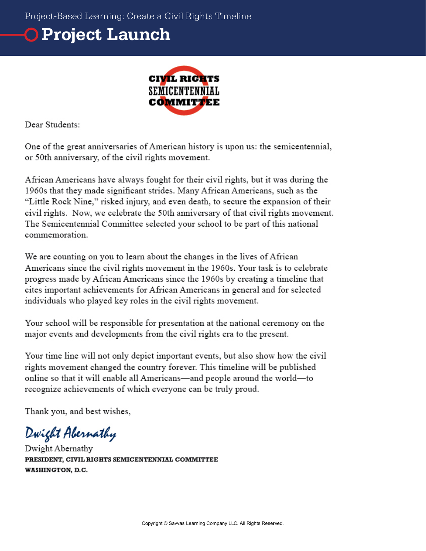# **Project Launch**



Dear Students:

One of the great anniversaries of American history is upon us: the semicentennial, or 50th anniversary, of the civil rights movement.

African Americans have always fought for their civil rights, but it was during the 1960s that they made significant strides. Many African Americans, such as the "Little Rock Nine," risked injury, and even death, to secure the expansion of their civil rights. Now, we celebrate the 50th anniversary of that civil rights movement. The Semicentennial Committee selected your school to be part of this national commemoration.

We are counting on you to learn about the changes in the lives of African Americans since the civil rights movement in the 1960s. Your task is to celebrate progress made by African Americans since the 1960s by creating a timeline that cites important achievements for African Americans in general and for selected individuals who played key roles in the civil rights movement.

Your school will be responsible for presentation at the national ceremony on the major events and developments from the civil rights era to the present.

Your time line will not only depict important events, but also show how the civil rights movement changed the country forever. This timeline will be published online so that it will enable all Americans—and people around the world—to recognize achievements of which everyone can be truly proud.

Thank you, and best wishes,

Dwight Abernathy

Dwight Abernathy PRESIDENT, CIVIL RIGHTS SEMICENTENNIAL COMMITTEE WASHINGTON, D.C.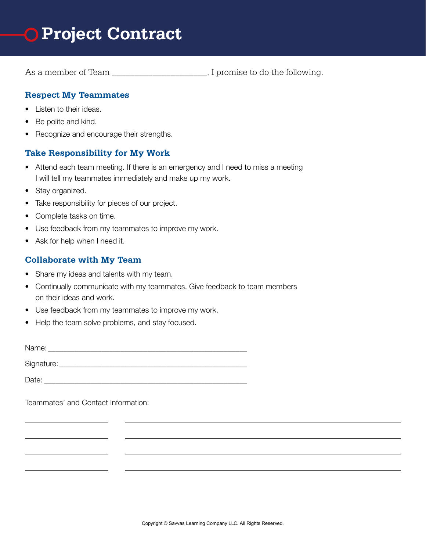

As a member of Team \_\_\_\_\_\_\_\_\_\_\_\_\_\_\_\_\_\_\_, I promise to do the following.

#### **Respect My Teammates**

- Listen to their ideas.
- Be polite and kind.
- Recognize and encourage their strengths.

#### **Take Responsibility for My Work**

- Attend each team meeting. If there is an emergency and I need to miss a meeting I will tell my teammates immediately and make up my work.
- Stay organized.
- Take responsibility for pieces of our project.
- Complete tasks on time.
- Use feedback from my teammates to improve my work.
- Ask for help when I need it.

#### **Collaborate with My Team**

- Share my ideas and talents with my team.
- Continually communicate with my teammates. Give feedback to team members on their ideas and work.
- Use feedback from my teammates to improve my work.
- Help the team solve problems, and stay focused.

Name: \_\_\_\_\_\_\_\_\_\_\_\_\_\_\_\_\_\_\_\_\_\_\_\_\_\_\_\_\_\_\_\_\_\_\_\_\_\_\_\_\_\_\_\_\_\_\_\_\_\_\_\_

Signature: \_\_\_\_\_\_\_\_\_\_\_\_\_\_\_\_\_\_\_\_\_\_\_\_\_\_\_\_\_\_\_\_\_\_\_\_\_\_\_\_\_\_\_\_\_\_\_\_\_

Date:

Teammates' and Contact Information: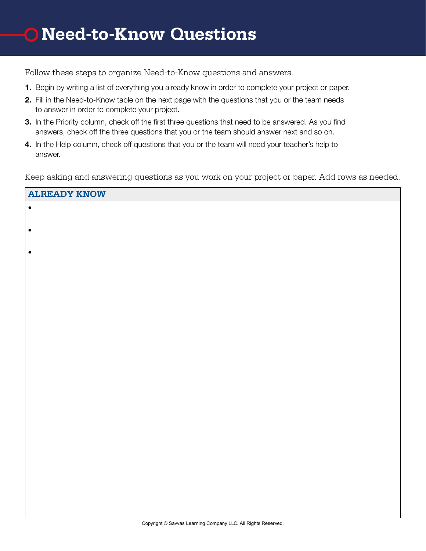**ALREADY KNOW**

Follow these steps to organize Need-to-Know questions and answers.

- 1. Begin by writing a list of everything you already know in order to complete your project or paper.
- 2. Fill in the Need-to-Know table on the next page with the questions that you or the team needs to answer in order to complete your project.
- **3.** In the Priority column, check off the first three questions that need to be answered. As you find answers, check off the three questions that you or the team should answer next and so on.
- 4. In the Help column, check off questions that you or the team will need your teacher's help to answer.

Keep asking and answering questions as you work on your project or paper. Add rows as needed.

| UTUTUDI I VIAOM |
|-----------------|
| $\bullet$       |
| $\bullet$       |
| $\bullet$       |
|                 |
|                 |
|                 |
|                 |
|                 |
|                 |
|                 |
|                 |
|                 |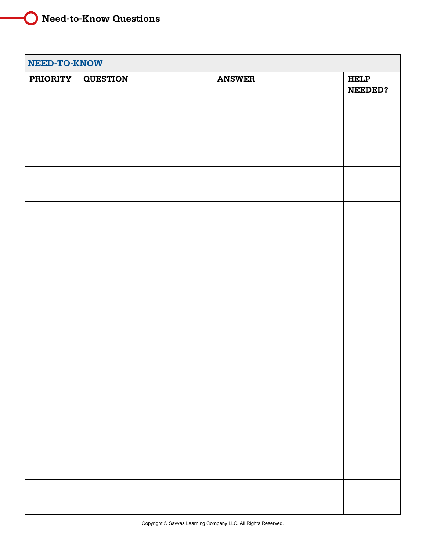### **Need-to-Know Questions**

| NEED-TO-KNOW    |                 |               |                               |  |
|-----------------|-----------------|---------------|-------------------------------|--|
| <b>PRIORITY</b> | <b>QUESTION</b> | <b>ANSWER</b> | <b>HELP</b><br><b>NEEDED?</b> |  |
|                 |                 |               |                               |  |
|                 |                 |               |                               |  |
|                 |                 |               |                               |  |
|                 |                 |               |                               |  |
|                 |                 |               |                               |  |
|                 |                 |               |                               |  |
|                 |                 |               |                               |  |
|                 |                 |               |                               |  |
|                 |                 |               |                               |  |
|                 |                 |               |                               |  |
|                 |                 |               |                               |  |
|                 |                 |               |                               |  |
|                 |                 |               |                               |  |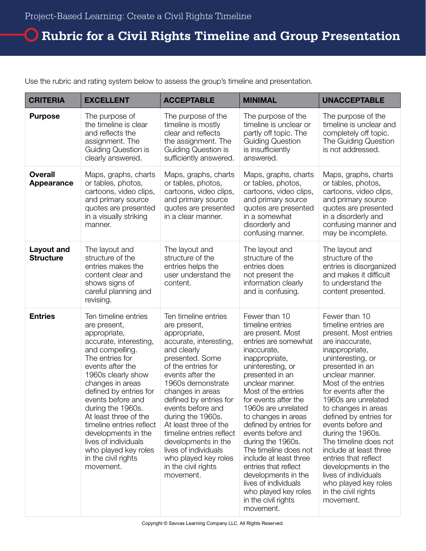### **Rubric for a Civil Rights Timeline and Group Presentation**

Use the rubric and rating system below to assess the group's timeline and presentation.

| <b>CRITERIA</b>                     | <b>EXCELLENT</b>                                                                                                                                                                                                                                                                                                                                                                                                       | <b>ACCEPTABLE</b>                                                                                                                                                                                                                                                                                                                                                                                                                       | <b>MINIMAL</b>                                                                                                                                                                                                                                                                                                                                                                                                                                                                                                                    | <b>UNACCEPTABLE</b>                                                                                                                                                                                                                                                                                                                                                                                                                                                                                                   |
|-------------------------------------|------------------------------------------------------------------------------------------------------------------------------------------------------------------------------------------------------------------------------------------------------------------------------------------------------------------------------------------------------------------------------------------------------------------------|-----------------------------------------------------------------------------------------------------------------------------------------------------------------------------------------------------------------------------------------------------------------------------------------------------------------------------------------------------------------------------------------------------------------------------------------|-----------------------------------------------------------------------------------------------------------------------------------------------------------------------------------------------------------------------------------------------------------------------------------------------------------------------------------------------------------------------------------------------------------------------------------------------------------------------------------------------------------------------------------|-----------------------------------------------------------------------------------------------------------------------------------------------------------------------------------------------------------------------------------------------------------------------------------------------------------------------------------------------------------------------------------------------------------------------------------------------------------------------------------------------------------------------|
| <b>Purpose</b>                      | The purpose of<br>the timeline is clear<br>and reflects the<br>assignment. The<br>Guiding Question is<br>clearly answered.                                                                                                                                                                                                                                                                                             | The purpose of the<br>timeline is mostly<br>clear and reflects<br>the assignment. The<br>Guiding Question is<br>sufficiently answered.                                                                                                                                                                                                                                                                                                  | The purpose of the<br>timeline is unclear or<br>partly off topic. The<br><b>Guiding Question</b><br>is insufficiently<br>answered.                                                                                                                                                                                                                                                                                                                                                                                                | The purpose of the<br>timeline is unclear and<br>completely off topic.<br>The Guiding Question<br>is not addressed.                                                                                                                                                                                                                                                                                                                                                                                                   |
| <b>Overall</b><br><b>Appearance</b> | Maps, graphs, charts<br>or tables, photos,<br>cartoons, video clips,<br>and primary source<br>quotes are presented<br>in a visually striking<br>manner.                                                                                                                                                                                                                                                                | Maps, graphs, charts<br>or tables, photos,<br>cartoons, video clips,<br>and primary source<br>quotes are presented<br>in a clear manner.                                                                                                                                                                                                                                                                                                | Maps, graphs, charts<br>or tables, photos,<br>cartoons, video clips,<br>and primary source<br>quotes are presented<br>in a somewhat<br>disorderly and<br>confusing manner.                                                                                                                                                                                                                                                                                                                                                        | Maps, graphs, charts<br>or tables, photos,<br>cartoons, video clips,<br>and primary source<br>quotes are presented<br>in a disorderly and<br>confusing manner and<br>may be incomplete.                                                                                                                                                                                                                                                                                                                               |
| Layout and<br><b>Structure</b>      | The layout and<br>structure of the<br>entries makes the<br>content clear and<br>shows signs of<br>careful planning and<br>revising.                                                                                                                                                                                                                                                                                    | The layout and<br>structure of the<br>entries helps the<br>user understand the<br>content.                                                                                                                                                                                                                                                                                                                                              | The layout and<br>structure of the<br>entries does<br>not present the<br>information clearly<br>and is confusing.                                                                                                                                                                                                                                                                                                                                                                                                                 | The layout and<br>structure of the<br>entries is disorganized<br>and makes it difficult<br>to understand the<br>content presented.                                                                                                                                                                                                                                                                                                                                                                                    |
| <b>Entries</b>                      | Ten timeline entries<br>are present,<br>appropriate,<br>accurate, interesting,<br>and compelling.<br>The entries for<br>events after the<br>1960s clearly show<br>changes in areas<br>defined by entries for<br>events before and<br>during the 1960s.<br>At least three of the<br>timeline entries reflect<br>developments in the<br>lives of individuals<br>who played key roles<br>in the civil rights<br>movement. | Ten timeline entries<br>are present,<br>appropriate,<br>accurate, interesting,<br>and clearly<br>presented. Some<br>of the entries for<br>events after the<br>1960s demonstrate<br>changes in areas<br>defined by entries for<br>events before and<br>during the 1960s.<br>At least three of the<br>timeline entries reflect<br>developments in the<br>lives of individuals<br>who played key roles<br>in the civil rights<br>movement. | Fewer than 10<br>timeline entries<br>are present. Most<br>entries are somewhat<br>inaccurate,<br>inappropriate,<br>uninteresting, or<br>presented in an<br>unclear manner.<br>Most of the entries<br>for events after the<br>1960s are unrelated<br>to changes in areas<br>defined by entries for<br>events before and<br>during the 1960s.<br>The timeline does not<br>include at least three<br>entries that reflect<br>developments in the<br>lives of individuals<br>who played key roles<br>in the civil rights<br>movement. | Fewer than 10<br>timeline entries are<br>present. Most entries<br>are inaccurate,<br>inappropriate,<br>uninteresting, or<br>presented in an<br>unclear manner.<br>Most of the entries<br>for events after the<br>1960s are unrelated<br>to changes in areas<br>defined by entries for<br>events before and<br>during the 1960s.<br>The timeline does not<br>include at least three<br>entries that reflect<br>developments in the<br>lives of individuals<br>who played key roles<br>in the civil rights<br>movement. |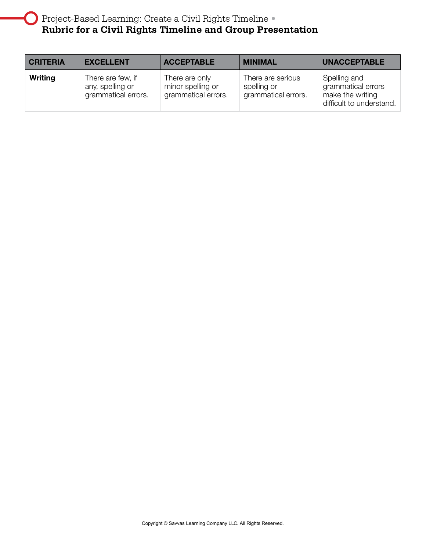$\begin{pmatrix} 1 \\ 1 \end{pmatrix}$ 

| <b>CRITERIA</b> | <b>EXCELLENT</b>                                             | <b>ACCEPTABLE</b>                                          | <b>MINIMAL</b>                                          | <b>UNACCEPTABLE</b>                                                                |
|-----------------|--------------------------------------------------------------|------------------------------------------------------------|---------------------------------------------------------|------------------------------------------------------------------------------------|
| Writing         | There are few, if<br>any, spelling or<br>grammatical errors. | There are only<br>minor spelling or<br>grammatical errors. | There are serious<br>spelling or<br>grammatical errors. | Spelling and<br>grammatical errors<br>make the writing<br>difficult to understand. |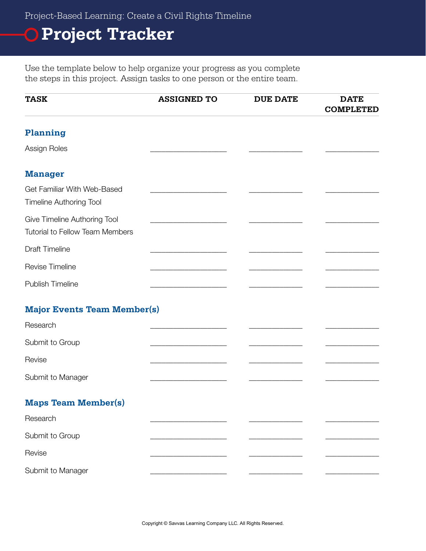Project-Based Learning: Create a Civil Rights Timeline

# **Project Tracker**

Use the template below to help organize your progress as you complete the steps in this project. Assign tasks to one person or the entire team.

| <b>TASK</b>                                                     | <b>ASSIGNED TO</b> | <b>DUE DATE</b> | <b>DATE</b><br><b>COMPLETED</b> |
|-----------------------------------------------------------------|--------------------|-----------------|---------------------------------|
| Planning                                                        |                    |                 |                                 |
| Assign Roles                                                    |                    |                 |                                 |
| <b>Manager</b>                                                  |                    |                 |                                 |
| Get Familiar With Web-Based<br><b>Timeline Authoring Tool</b>   |                    |                 |                                 |
| Give Timeline Authoring Tool<br>Tutorial to Fellow Team Members |                    |                 |                                 |
| <b>Draft Timeline</b>                                           |                    |                 |                                 |
| Revise Timeline                                                 |                    |                 |                                 |
| <b>Publish Timeline</b>                                         |                    |                 |                                 |
| <b>Major Events Team Member(s)</b>                              |                    |                 |                                 |
| Research                                                        |                    |                 |                                 |
| Submit to Group                                                 |                    |                 |                                 |
| Revise                                                          |                    |                 |                                 |
| Submit to Manager                                               |                    |                 |                                 |
| <b>Maps Team Member(s)</b>                                      |                    |                 |                                 |
| Research                                                        |                    |                 |                                 |
| Submit to Group                                                 |                    |                 |                                 |
| Revise                                                          |                    |                 |                                 |
| Submit to Manager                                               |                    |                 |                                 |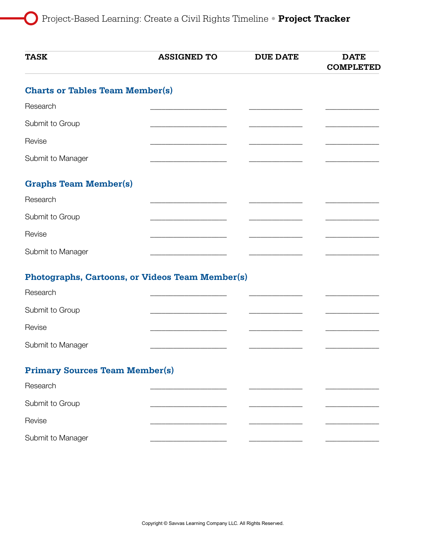$\left( \begin{array}{c} \end{array} \right)$ 

| <b>TASK</b>                                     | <b>ASSIGNED TO</b>                                        | <b>DUE DATE</b> | <b>DATE</b><br><b>COMPLETED</b> |
|-------------------------------------------------|-----------------------------------------------------------|-----------------|---------------------------------|
| <b>Charts or Tables Team Member(s)</b>          |                                                           |                 |                                 |
| Research                                        |                                                           |                 |                                 |
| Submit to Group                                 | <u> 1989 - Johann John Stone, markin sammen fotografi</u> |                 |                                 |
| Revise                                          |                                                           |                 |                                 |
| Submit to Manager                               |                                                           |                 |                                 |
| <b>Graphs Team Member(s)</b>                    |                                                           |                 |                                 |
| Research                                        |                                                           |                 |                                 |
| Submit to Group                                 |                                                           |                 |                                 |
| Revise                                          |                                                           |                 |                                 |
| Submit to Manager                               |                                                           |                 |                                 |
| Photographs, Cartoons, or Videos Team Member(s) |                                                           |                 |                                 |
| Research                                        |                                                           |                 |                                 |
| Submit to Group                                 |                                                           |                 |                                 |
| Revise                                          |                                                           |                 |                                 |
| Submit to Manager                               |                                                           |                 |                                 |
| <b>Primary Sources Team Member(s)</b>           |                                                           |                 |                                 |
| Research                                        |                                                           |                 |                                 |
| Submit to Group                                 |                                                           |                 |                                 |
| Revise                                          |                                                           |                 |                                 |
| Submit to Manager                               |                                                           |                 |                                 |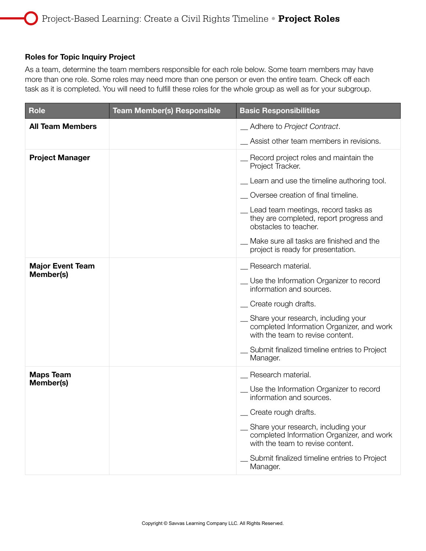#### Roles for Topic Inquiry Project

As a team, determine the team members responsible for each role below. Some team members may have more than one role. Some roles may need more than one person or even the entire team. Check off each task as it is completed. You will need to fulfill these roles for the whole group as well as for your subgroup.

| <b>Role</b>             | <b>Team Member(s) Responsible</b> | <b>Basic Responsibilities</b>                                                                                          |
|-------------------------|-----------------------------------|------------------------------------------------------------------------------------------------------------------------|
| <b>All Team Members</b> |                                   | _ Adhere to Project Contract.                                                                                          |
|                         |                                   | Assist other team members in revisions.                                                                                |
| <b>Project Manager</b>  |                                   | Record project roles and maintain the<br>Project Tracker.                                                              |
|                         |                                   | Learn and use the timeline authoring tool.                                                                             |
|                         |                                   | Oversee creation of final timeline.                                                                                    |
|                         |                                   | Lead team meetings, record tasks as<br>they are completed, report progress and<br>obstacles to teacher.                |
|                         |                                   | Make sure all tasks are finished and the<br>project is ready for presentation.                                         |
| <b>Major Event Team</b> |                                   | Research material.                                                                                                     |
| Member(s)               |                                   | Use the Information Organizer to record<br>information and sources.                                                    |
|                         |                                   | _ Create rough drafts.                                                                                                 |
|                         |                                   | _ Share your research, including your<br>completed Information Organizer, and work<br>with the team to revise content. |
|                         |                                   | Submit finalized timeline entries to Project<br>Manager.                                                               |
| <b>Maps Team</b>        |                                   | Research material.                                                                                                     |
| Member(s)               |                                   | Use the Information Organizer to record<br>information and sources.                                                    |
|                         |                                   | Create rough drafts.                                                                                                   |
|                         |                                   | _ Share your research, including your<br>completed Information Organizer, and work<br>with the team to revise content. |
|                         |                                   | Submit finalized timeline entries to Project<br>Manager.                                                               |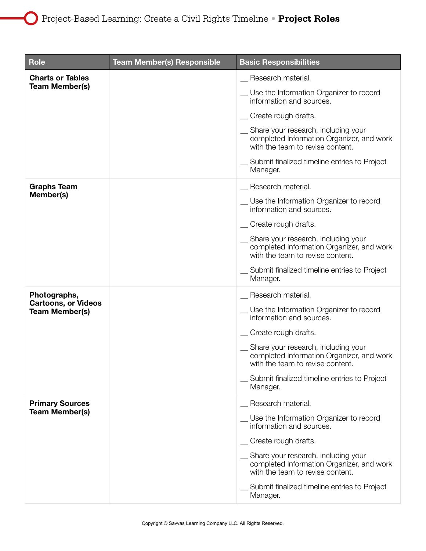$\left( \begin{array}{c} \end{array} \right)$ 

| <b>Role</b>                                         | <b>Team Member(s) Responsible</b> | <b>Basic Responsibilities</b>                                                                                        |
|-----------------------------------------------------|-----------------------------------|----------------------------------------------------------------------------------------------------------------------|
| <b>Charts or Tables</b>                             |                                   | Research material.                                                                                                   |
| <b>Team Member(s)</b>                               |                                   | _ Use the Information Organizer to record<br>information and sources.                                                |
|                                                     |                                   | _ Create rough drafts.                                                                                               |
|                                                     |                                   | Share your research, including your<br>completed Information Organizer, and work<br>with the team to revise content. |
|                                                     |                                   | Submit finalized timeline entries to Project<br>Manager.                                                             |
| <b>Graphs Team</b>                                  |                                   | Research material.                                                                                                   |
| Member(s)                                           |                                   | Use the Information Organizer to record<br>information and sources.                                                  |
|                                                     |                                   | Create rough drafts.                                                                                                 |
|                                                     |                                   | Share your research, including your<br>completed Information Organizer, and work<br>with the team to revise content. |
|                                                     |                                   | Submit finalized timeline entries to Project<br>Manager.                                                             |
| Photographs,                                        |                                   | Research material.                                                                                                   |
| <b>Cartoons, or Videos</b><br><b>Team Member(s)</b> |                                   | Use the Information Organizer to record<br>information and sources.                                                  |
|                                                     |                                   | Create rough drafts.                                                                                                 |
|                                                     |                                   | Share your research, including your<br>completed Information Organizer, and work<br>with the team to revise content. |
|                                                     |                                   | Submit finalized timeline entries to Project<br>Manager.                                                             |
| <b>Primary Sources</b>                              |                                   | Research material.                                                                                                   |
| <b>Team Member(s)</b>                               |                                   | Use the Information Organizer to record<br>information and sources.                                                  |
|                                                     |                                   | _ Create rough drafts.                                                                                               |
|                                                     |                                   | Share your research, including your<br>completed Information Organizer, and work<br>with the team to revise content. |
|                                                     |                                   | Submit finalized timeline entries to Project<br>Manager.                                                             |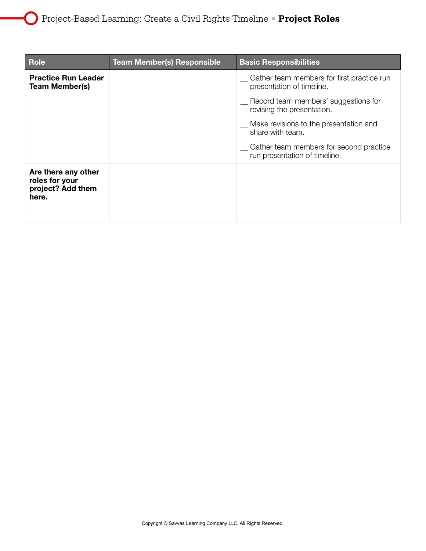| <b>Role</b>                                                         | <b>Team Member(s) Responsible</b> | <b>Basic Responsibilities</b>                                              |
|---------------------------------------------------------------------|-----------------------------------|----------------------------------------------------------------------------|
| <b>Practice Run Leader</b><br><b>Team Member(s)</b>                 |                                   | _ Gather team members for first practice run<br>presentation of timeline.  |
|                                                                     |                                   | _ Record team members' suggestions for<br>revising the presentation.       |
|                                                                     |                                   | _ Make revisions to the presentation and<br>share with team.               |
|                                                                     |                                   | _ Gather team members for second practice<br>run presentation of timeline. |
| Are there any other<br>roles for your<br>project? Add them<br>here. |                                   |                                                                            |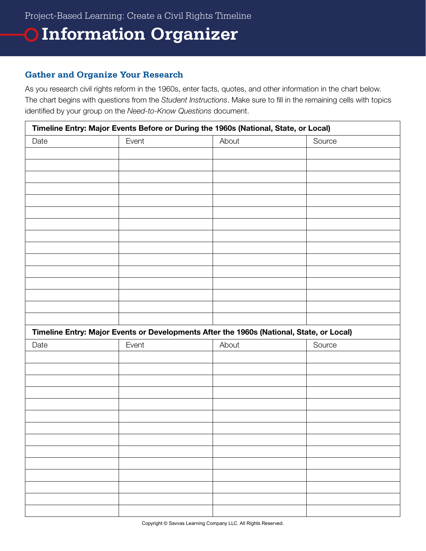### **Information Organizer**

#### **Gather and Organize Your Research**

As you research civil rights reform in the 1960s, enter facts, quotes, and other information in the chart below. The chart begins with questions from the *Student Instructions*. Make sure to fill in the remaining cells with topics identified by your group on the *Need-to-Know Questions* document.

|      | Timeline Entry: Major Events Before or During the 1960s (National, State, or Local)      |       |        |  |  |
|------|------------------------------------------------------------------------------------------|-------|--------|--|--|
| Date | Event                                                                                    | About | Source |  |  |
|      |                                                                                          |       |        |  |  |
|      |                                                                                          |       |        |  |  |
|      |                                                                                          |       |        |  |  |
|      |                                                                                          |       |        |  |  |
|      |                                                                                          |       |        |  |  |
|      |                                                                                          |       |        |  |  |
|      |                                                                                          |       |        |  |  |
|      |                                                                                          |       |        |  |  |
|      |                                                                                          |       |        |  |  |
|      |                                                                                          |       |        |  |  |
|      |                                                                                          |       |        |  |  |
|      |                                                                                          |       |        |  |  |
|      |                                                                                          |       |        |  |  |
|      |                                                                                          |       |        |  |  |
|      |                                                                                          |       |        |  |  |
|      | Timeline Entry: Major Events or Developments After the 1960s (National, State, or Local) |       |        |  |  |
| Date | Event                                                                                    | About | Source |  |  |
|      |                                                                                          |       |        |  |  |
|      |                                                                                          |       |        |  |  |
|      |                                                                                          |       |        |  |  |
|      |                                                                                          |       |        |  |  |
|      |                                                                                          |       |        |  |  |
|      |                                                                                          |       |        |  |  |
|      |                                                                                          |       |        |  |  |
|      |                                                                                          |       |        |  |  |
|      |                                                                                          |       |        |  |  |
|      |                                                                                          |       |        |  |  |
|      |                                                                                          |       |        |  |  |
|      |                                                                                          |       |        |  |  |
|      |                                                                                          |       |        |  |  |
|      |                                                                                          |       |        |  |  |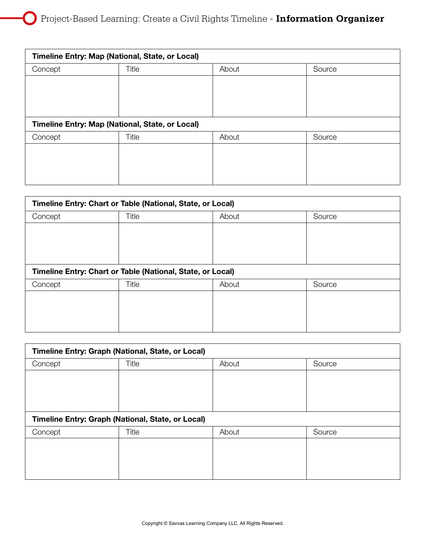$\left( \begin{array}{c} \cdot \end{array} \right)$ 

| Timeline Entry: Map (National, State, or Local) |                                                 |       |        |  |  |
|-------------------------------------------------|-------------------------------------------------|-------|--------|--|--|
| Concept                                         | Title                                           | About | Source |  |  |
|                                                 |                                                 |       |        |  |  |
|                                                 |                                                 |       |        |  |  |
|                                                 |                                                 |       |        |  |  |
|                                                 | Timeline Entry: Map (National, State, or Local) |       |        |  |  |
| Concept                                         | Title                                           | About | Source |  |  |
|                                                 |                                                 |       |        |  |  |
|                                                 |                                                 |       |        |  |  |
|                                                 |                                                 |       |        |  |  |
|                                                 |                                                 |       |        |  |  |

| Timeline Entry: Chart or Table (National, State, or Local) |                                                            |       |        |  |
|------------------------------------------------------------|------------------------------------------------------------|-------|--------|--|
| Concept                                                    | Title                                                      | About | Source |  |
|                                                            |                                                            |       |        |  |
|                                                            |                                                            |       |        |  |
|                                                            |                                                            |       |        |  |
|                                                            | Timeline Entry: Chart or Table (National, State, or Local) |       |        |  |
| Concept                                                    | Title                                                      | About | Source |  |
|                                                            |                                                            |       |        |  |
|                                                            |                                                            |       |        |  |
|                                                            |                                                            |       |        |  |
|                                                            |                                                            |       |        |  |

| Timeline Entry: Graph (National, State, or Local) |       |       |        |  |
|---------------------------------------------------|-------|-------|--------|--|
| Concept                                           | Title | About | Source |  |
|                                                   |       |       |        |  |
|                                                   |       |       |        |  |
|                                                   |       |       |        |  |
| Timeline Entry: Graph (National, State, or Local) |       |       |        |  |
| Concept                                           | Title | About | Source |  |
|                                                   |       |       |        |  |
|                                                   |       |       |        |  |
|                                                   |       |       |        |  |
|                                                   |       |       |        |  |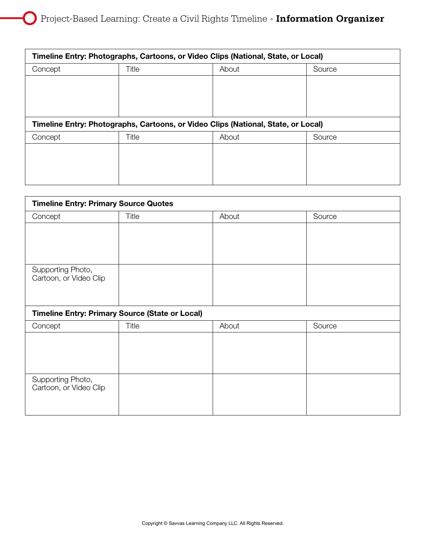| Timeline Entry: Photographs, Cartoons, or Video Clips (National, State, or Local) |       |       |        |  |
|-----------------------------------------------------------------------------------|-------|-------|--------|--|
| Concept                                                                           | Title | About | Source |  |
|                                                                                   |       |       |        |  |
|                                                                                   |       |       |        |  |
|                                                                                   |       |       |        |  |
| Timeline Entry: Photographs, Cartoons, or Video Clips (National, State, or Local) |       |       |        |  |
|                                                                                   |       |       |        |  |
| Concept                                                                           | Title | About | Source |  |
|                                                                                   |       |       |        |  |
|                                                                                   |       |       |        |  |
|                                                                                   |       |       |        |  |

| <b>Timeline Entry: Primary Source Quotes</b>           |       |       |        |  |
|--------------------------------------------------------|-------|-------|--------|--|
| Concept                                                | Title | About | Source |  |
|                                                        |       |       |        |  |
|                                                        |       |       |        |  |
|                                                        |       |       |        |  |
| Supporting Photo,                                      |       |       |        |  |
| Cartoon, or Video Clip                                 |       |       |        |  |
|                                                        |       |       |        |  |
| <b>Timeline Entry: Primary Source (State or Local)</b> |       |       |        |  |
| Concept                                                | Title | About | Source |  |
|                                                        |       |       |        |  |
|                                                        |       |       |        |  |
|                                                        |       |       |        |  |
| Supporting Photo,                                      |       |       |        |  |
| Cartoon, or Video Clip                                 |       |       |        |  |
|                                                        |       |       |        |  |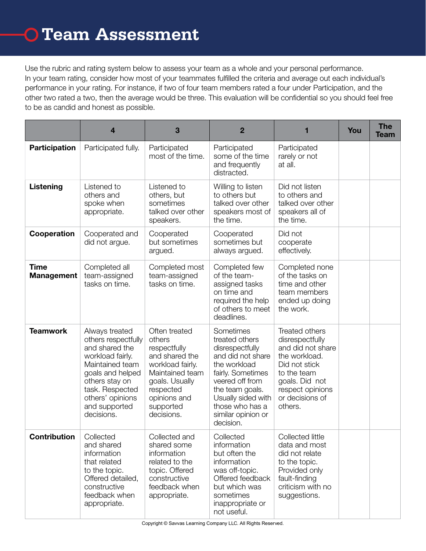Use the rubric and rating system below to assess your team as a whole and your personal performance. In your team rating, consider how most of your teammates fulfilled the criteria and average out each individual's performance in your rating. For instance, if two of four team members rated a four under Participation, and the other two rated a two, then the average would be three. This evaluation will be confidential so you should feel free to be as candid and honest as possible.

|                                  | $\overline{\mathbf{4}}$                                                                                                                                                                                    | 3                                                                                                                                                                          | $\overline{2}$                                                                                                                                                                                                             |                                                                                                                                                                             | You | <b>The</b><br>Team |
|----------------------------------|------------------------------------------------------------------------------------------------------------------------------------------------------------------------------------------------------------|----------------------------------------------------------------------------------------------------------------------------------------------------------------------------|----------------------------------------------------------------------------------------------------------------------------------------------------------------------------------------------------------------------------|-----------------------------------------------------------------------------------------------------------------------------------------------------------------------------|-----|--------------------|
| <b>Participation</b>             | Participated fully.                                                                                                                                                                                        | Participated<br>most of the time.                                                                                                                                          | Participated<br>some of the time<br>and frequently<br>distracted.                                                                                                                                                          | Participated<br>rarely or not<br>at all.                                                                                                                                    |     |                    |
| Listening                        | Listened to<br>others and<br>spoke when<br>appropriate.                                                                                                                                                    | Listened to<br>others, but<br>sometimes<br>talked over other<br>speakers.                                                                                                  | Willing to listen<br>to others but<br>talked over other<br>speakers most of<br>the time.                                                                                                                                   | Did not listen<br>to others and<br>talked over other<br>speakers all of<br>the time.                                                                                        |     |                    |
| Cooperation                      | Cooperated and<br>did not argue.                                                                                                                                                                           | Cooperated<br>but sometimes<br>argued.                                                                                                                                     | Cooperated<br>sometimes but<br>always argued.                                                                                                                                                                              | Did not<br>cooperate<br>effectively.                                                                                                                                        |     |                    |
| <b>Time</b><br><b>Management</b> | Completed all<br>team-assigned<br>tasks on time.                                                                                                                                                           | Completed most<br>team-assigned<br>tasks on time.                                                                                                                          | Completed few<br>of the team-<br>assigned tasks<br>on time and<br>required the help<br>of others to meet<br>deadlines.                                                                                                     | Completed none<br>of the tasks on<br>time and other<br>team members<br>ended up doing<br>the work.                                                                          |     |                    |
| <b>Teamwork</b>                  | Always treated<br>others respectfully<br>and shared the<br>workload fairly.<br>Maintained team<br>goals and helped<br>others stay on<br>task. Respected<br>others' opinions<br>and supported<br>decisions. | Often treated<br>others<br>respectfully<br>and shared the<br>workload fairly.<br>Maintained team<br>goals. Usually<br>respected<br>opinions and<br>supported<br>decisions. | Sometimes<br>treated others<br>disrespectfully<br>and did not share<br>the workload<br>fairly. Sometimes<br>veered off from<br>the team goals.<br>Usually sided with<br>those who has a<br>similar opinion or<br>decision. | Treated others<br>disrespectfully<br>and did not share<br>the workload.<br>Did not stick<br>to the team<br>goals. Did not<br>respect opinions<br>or decisions of<br>others. |     |                    |
| <b>Contribution</b>              | Collected<br>and shared<br>information<br>that related<br>to the topic.<br>Offered detailed,<br>constructive<br>feedback when<br>appropriate.                                                              | Collected and<br>shared some<br>information<br>related to the<br>topic. Offered<br>constructive<br>feedback when<br>appropriate.                                           | Collected<br>information<br>but often the<br>information<br>was off-topic.<br>Offered feedback<br>but which was<br>sometimes<br>inappropriate or<br>not useful.                                                            | Collected little<br>data and most<br>did not relate<br>to the topic.<br>Provided only<br>fault-finding<br>criticism with no<br>suggestions.                                 |     |                    |